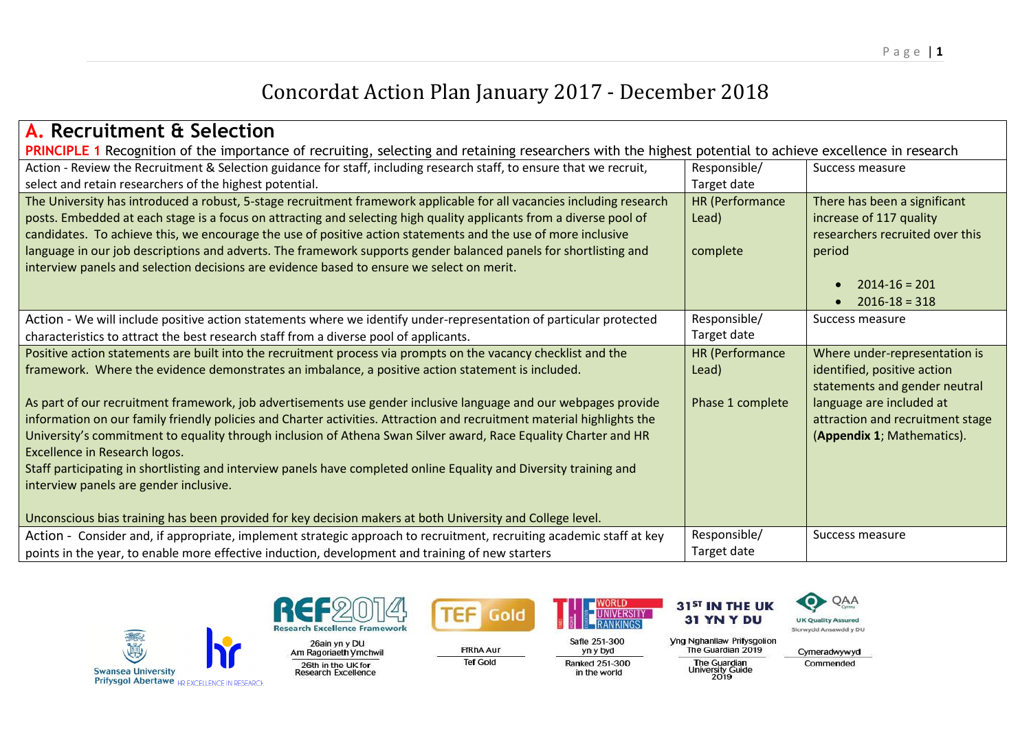# Concordat Action Plan January 2017 - December 2018

| <b>A.</b> Recruitment & Selection                                                                                                                                                                                                            |                                 |                                                                |  |
|----------------------------------------------------------------------------------------------------------------------------------------------------------------------------------------------------------------------------------------------|---------------------------------|----------------------------------------------------------------|--|
| <b>PRINCIPLE 1</b> Recognition of the importance of recruiting, selecting and retaining researchers with the highest potential to achieve excellence in research                                                                             |                                 |                                                                |  |
| Action - Review the Recruitment & Selection guidance for staff, including research staff, to ensure that we recruit,                                                                                                                         | Responsible/                    | Success measure                                                |  |
| select and retain researchers of the highest potential.                                                                                                                                                                                      | Target date                     |                                                                |  |
| The University has introduced a robust, 5-stage recruitment framework applicable for all vacancies including research<br>posts. Embedded at each stage is a focus on attracting and selecting high quality applicants from a diverse pool of | <b>HR (Performance</b><br>Lead) | There has been a significant<br>increase of 117 quality        |  |
| candidates. To achieve this, we encourage the use of positive action statements and the use of more inclusive                                                                                                                                |                                 | researchers recruited over this                                |  |
| language in our job descriptions and adverts. The framework supports gender balanced panels for shortlisting and                                                                                                                             | complete                        | period                                                         |  |
| interview panels and selection decisions are evidence based to ensure we select on merit.                                                                                                                                                    |                                 |                                                                |  |
|                                                                                                                                                                                                                                              |                                 | $2014 - 16 = 201$                                              |  |
|                                                                                                                                                                                                                                              |                                 | $2016 - 18 = 318$                                              |  |
| Action - We will include positive action statements where we identify under-representation of particular protected                                                                                                                           | Responsible/                    | Success measure                                                |  |
| characteristics to attract the best research staff from a diverse pool of applicants.                                                                                                                                                        | Target date                     |                                                                |  |
| Positive action statements are built into the recruitment process via prompts on the vacancy checklist and the                                                                                                                               | <b>HR (Performance</b>          | Where under-representation is                                  |  |
| framework. Where the evidence demonstrates an imbalance, a positive action statement is included.                                                                                                                                            | Lead)                           | identified, positive action                                    |  |
|                                                                                                                                                                                                                                              |                                 | statements and gender neutral                                  |  |
| As part of our recruitment framework, job advertisements use gender inclusive language and our webpages provide                                                                                                                              | Phase 1 complete                | language are included at                                       |  |
| information on our family friendly policies and Charter activities. Attraction and recruitment material highlights the                                                                                                                       |                                 | attraction and recruitment stage<br>(Appendix 1; Mathematics). |  |
| University's commitment to equality through inclusion of Athena Swan Silver award, Race Equality Charter and HR<br>Excellence in Research logos.                                                                                             |                                 |                                                                |  |
| Staff participating in shortlisting and interview panels have completed online Equality and Diversity training and                                                                                                                           |                                 |                                                                |  |
| interview panels are gender inclusive.                                                                                                                                                                                                       |                                 |                                                                |  |
|                                                                                                                                                                                                                                              |                                 |                                                                |  |
| Unconscious bias training has been provided for key decision makers at both University and College level.                                                                                                                                    |                                 |                                                                |  |
| Action - Consider and, if appropriate, implement strategic approach to recruitment, recruiting academic staff at key                                                                                                                         | Responsible/                    | Success measure                                                |  |
| points in the year, to enable more effective induction, development and training of new starters                                                                                                                                             | Target date                     |                                                                |  |







**FfRhAAur** 

**Tef Gold** 



Safle 251-300 yn y byd Ranked 251-300 in the world



**Vng Nghanllaw Prifysgolion** 

Cymeradwywyd Commended

QAA

The Guardian 2019 The Guardian<br>University Guide<br>2019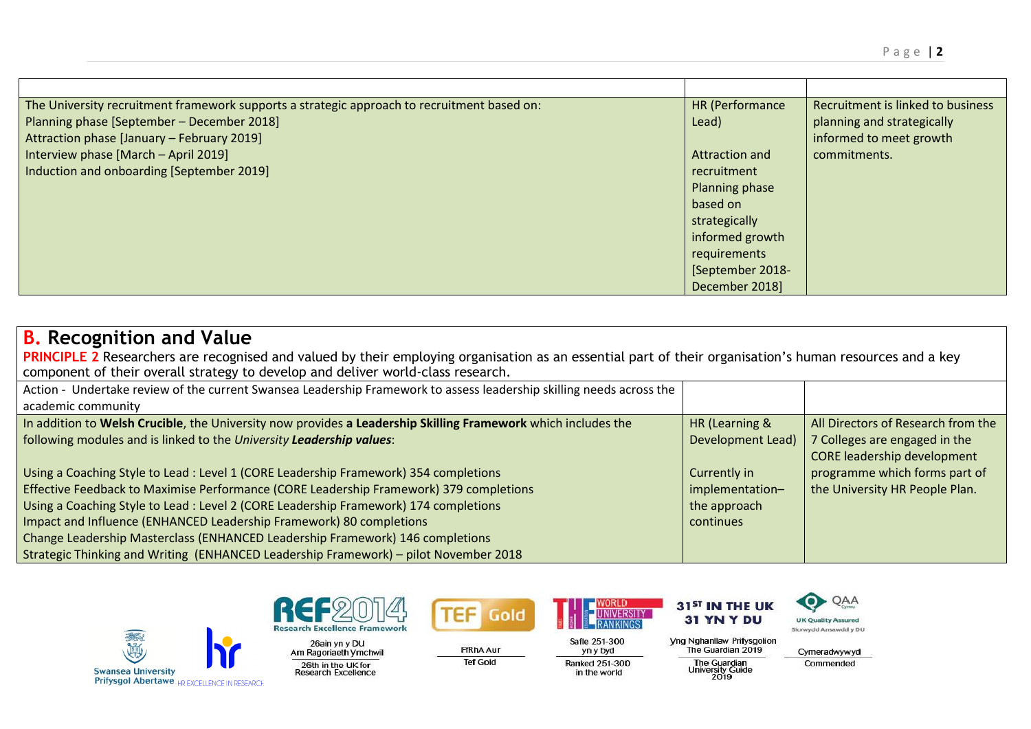| The University recruitment framework supports a strategic approach to recruitment based on: | HR (Performance  | Recruitment is linked to business |
|---------------------------------------------------------------------------------------------|------------------|-----------------------------------|
| Planning phase [September - December 2018]                                                  | Lead)            | planning and strategically        |
| Attraction phase [January - February 2019]                                                  |                  | informed to meet growth           |
| Interview phase [March - April 2019]                                                        | Attraction and   | commitments.                      |
| Induction and onboarding [September 2019]                                                   | recruitment      |                                   |
|                                                                                             | Planning phase   |                                   |
|                                                                                             | based on         |                                   |
|                                                                                             | strategically    |                                   |
|                                                                                             | informed growth  |                                   |
|                                                                                             | requirements     |                                   |
|                                                                                             | [September 2018- |                                   |
|                                                                                             | December 2018]   |                                   |

# **B. Recognition and Value**

PRINCIPLE 2 Researchers are recognised and valued by their employing organisation as an essential part of their organisation's human resources and a key component of their overall strategy to develop and deliver world-class research.

| Action - Undertake review of the current Swansea Leadership Framework to assess leadership skilling needs across the |                   |                                    |
|----------------------------------------------------------------------------------------------------------------------|-------------------|------------------------------------|
| academic community                                                                                                   |                   |                                    |
| In addition to Welsh Crucible, the University now provides a Leadership Skilling Framework which includes the        | HR (Learning &    | All Directors of Research from the |
| following modules and is linked to the University Leadership values:                                                 | Development Lead) | 7 Colleges are engaged in the      |
|                                                                                                                      |                   | CORE leadership development        |
| Using a Coaching Style to Lead : Level 1 (CORE Leadership Framework) 354 completions                                 | Currently in      | programme which forms part of      |
| Effective Feedback to Maximise Performance (CORE Leadership Framework) 379 completions                               | implementation-   | the University HR People Plan.     |
| Using a Coaching Style to Lead : Level 2 (CORE Leadership Framework) 174 completions                                 | the approach      |                                    |
| Impact and Influence (ENHANCED Leadership Framework) 80 completions                                                  | continues         |                                    |
| Change Leadership Masterclass (ENHANCED Leadership Framework) 146 completions                                        |                   |                                    |
| Strategic Thinking and Writing (ENHANCED Leadership Framework) – pilot November 2018                                 |                   |                                    |







**FfRhAAur** 

**Tef Gold** 



Safle 251-300 yn y byd Ranked 251-300 in the world



Sicrwydd Ansawdd y DU **Vng Nghanllaw Prifysgolion** 

31<sup>ST</sup> IN THE UK

31 YN Y DU

The Guardian 2019

The Guardian<br>University Guide<br>2019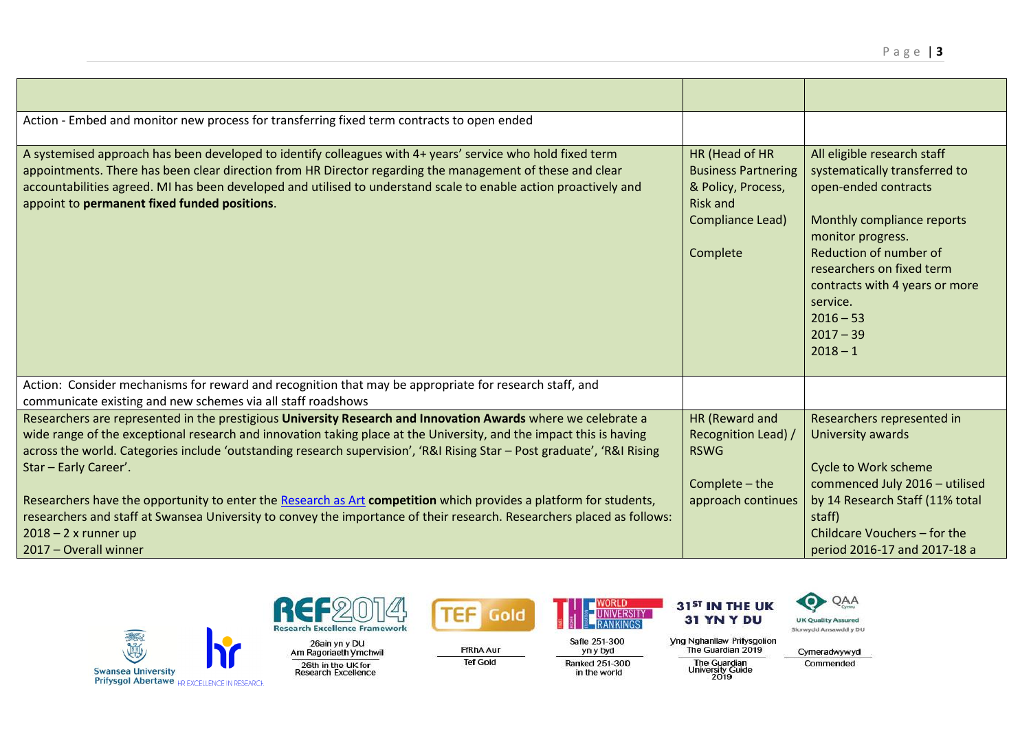| Action - Embed and monitor new process for transferring fixed term contracts to open ended                                                                                                                                                                                                                                                                                                                                                                                                                    |                                                                                                                       |                                                                                                                                                                                                                                                                                          |
|---------------------------------------------------------------------------------------------------------------------------------------------------------------------------------------------------------------------------------------------------------------------------------------------------------------------------------------------------------------------------------------------------------------------------------------------------------------------------------------------------------------|-----------------------------------------------------------------------------------------------------------------------|------------------------------------------------------------------------------------------------------------------------------------------------------------------------------------------------------------------------------------------------------------------------------------------|
| A systemised approach has been developed to identify colleagues with 4+ years' service who hold fixed term<br>appointments. There has been clear direction from HR Director regarding the management of these and clear<br>accountabilities agreed. MI has been developed and utilised to understand scale to enable action proactively and<br>appoint to permanent fixed funded positions.                                                                                                                   | HR (Head of HR<br><b>Business Partnering</b><br>& Policy, Process,<br><b>Risk and</b><br>Compliance Lead)<br>Complete | All eligible research staff<br>systematically transferred to<br>open-ended contracts<br>Monthly compliance reports<br>monitor progress.<br>Reduction of number of<br>researchers on fixed term<br>contracts with 4 years or more<br>service.<br>$2016 - 53$<br>$2017 - 39$<br>$2018 - 1$ |
| Action: Consider mechanisms for reward and recognition that may be appropriate for research staff, and<br>communicate existing and new schemes via all staff roadshows                                                                                                                                                                                                                                                                                                                                        |                                                                                                                       |                                                                                                                                                                                                                                                                                          |
| Researchers are represented in the prestigious University Research and Innovation Awards where we celebrate a<br>wide range of the exceptional research and innovation taking place at the University, and the impact this is having<br>across the world. Categories include 'outstanding research supervision', 'R&I Rising Star - Post graduate', 'R&I Rising<br>Star - Early Career'.<br>Researchers have the opportunity to enter the Research as Art competition which provides a platform for students, | HR (Reward and<br>Recognition Lead) /<br><b>RSWG</b><br>Complete - the<br>approach continues                          | Researchers represented in<br>University awards<br><b>Cycle to Work scheme</b><br>commenced July 2016 - utilised<br>by 14 Research Staff (11% total                                                                                                                                      |
| researchers and staff at Swansea University to convey the importance of their research. Researchers placed as follows:<br>$2018 - 2x$ runner up<br>2017 - Overall winner                                                                                                                                                                                                                                                                                                                                      |                                                                                                                       | staff)<br>Childcare Vouchers - for the<br>period 2016-17 and 2017-18 a                                                                                                                                                                                                                   |







**FfRhAAur** 

**Tef Gold** 





Ranked 251-300 in the world



31<sup>ST</sup> IN THE UK

31 YN Y DU

**Yng Nghanllaw Prifysgolion<br>The Guardian 2019** 

The Guardian<br>University Guide<br>2019

Cymeradwywyd

Commended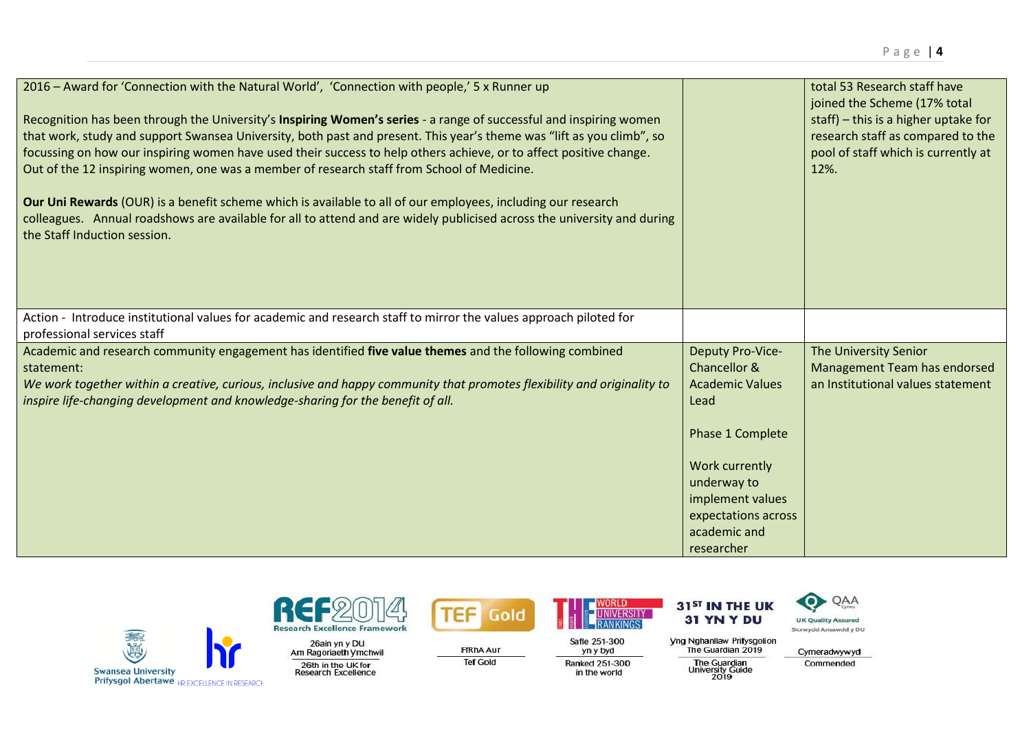| 2016 - Award for 'Connection with the Natural World', 'Connection with people,' 5 x Runner up<br>Recognition has been through the University's Inspiring Women's series - a range of successful and inspiring women<br>that work, study and support Swansea University, both past and present. This year's theme was "lift as you climb", so<br>focussing on how our inspiring women have used their success to help others achieve, or to affect positive change.<br>Out of the 12 inspiring women, one was a member of research staff from School of Medicine.<br>Our Uni Rewards (OUR) is a benefit scheme which is available to all of our employees, including our research<br>colleagues. Annual roadshows are available for all to attend and are widely publicised across the university and during<br>the Staff Induction session. |                                                                                                                                                                                                  | total 53 Research staff have<br>joined the Scheme (17% total<br>staff) - this is a higher uptake for<br>research staff as compared to the<br>pool of staff which is currently at<br>12%. |
|---------------------------------------------------------------------------------------------------------------------------------------------------------------------------------------------------------------------------------------------------------------------------------------------------------------------------------------------------------------------------------------------------------------------------------------------------------------------------------------------------------------------------------------------------------------------------------------------------------------------------------------------------------------------------------------------------------------------------------------------------------------------------------------------------------------------------------------------|--------------------------------------------------------------------------------------------------------------------------------------------------------------------------------------------------|------------------------------------------------------------------------------------------------------------------------------------------------------------------------------------------|
| Action - Introduce institutional values for academic and research staff to mirror the values approach piloted for<br>professional services staff                                                                                                                                                                                                                                                                                                                                                                                                                                                                                                                                                                                                                                                                                            |                                                                                                                                                                                                  |                                                                                                                                                                                          |
| Academic and research community engagement has identified five value themes and the following combined<br>statement:<br>We work together within a creative, curious, inclusive and happy community that promotes flexibility and originality to<br>inspire life-changing development and knowledge-sharing for the benefit of all.                                                                                                                                                                                                                                                                                                                                                                                                                                                                                                          | Deputy Pro-Vice-<br>Chancellor &<br><b>Academic Values</b><br>Lead<br>Phase 1 Complete<br>Work currently<br>underway to<br>implement values<br>expectations across<br>academic and<br>researcher | The University Senior<br>Management Team has endorsed<br>an Institutional values statement                                                                                               |







**FfRhAAur** 

**Tef Gold** 



Safle 251-300 yn y byd Ranked 251-300 in the world



**Yng Nghanllaw Prifysgolion<br>The Guardian 2019** The Guardian<br>University Guide<br>2019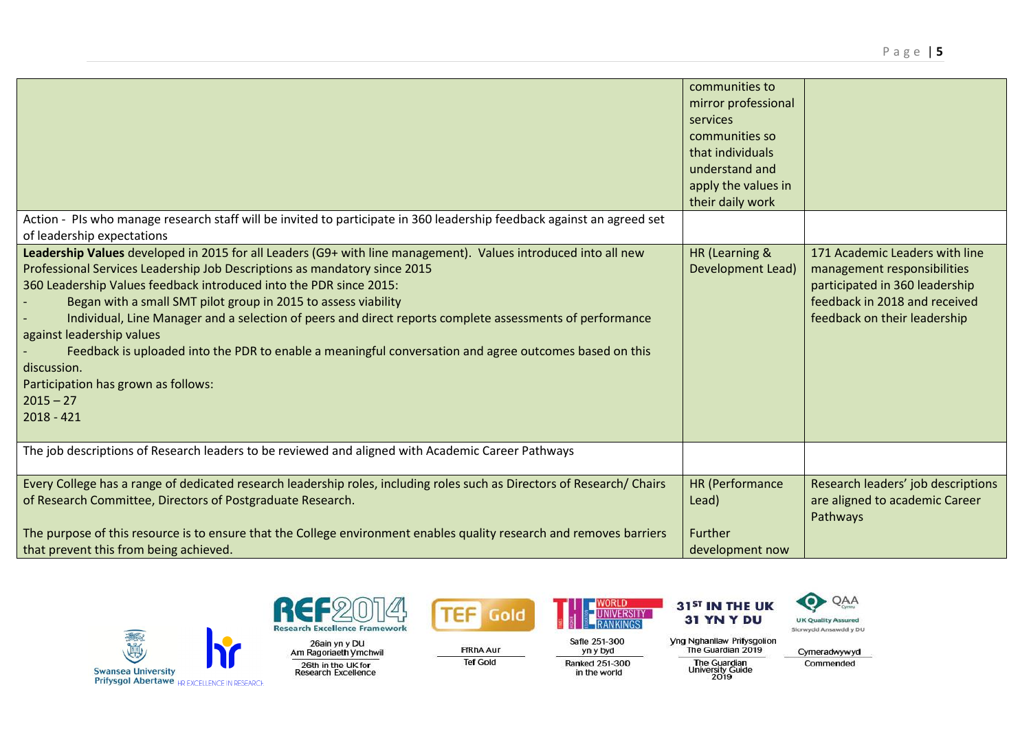| Action - PIs who manage research staff will be invited to participate in 360 leadership feedback against an agreed set                                                                                                                                                                                                                                                                                                                                                                                                                                                                                                                                                      | communities to<br>mirror professional<br>services<br>communities so<br>that individuals<br>understand and<br>apply the values in<br>their daily work |                                                                                                                                                                  |
|-----------------------------------------------------------------------------------------------------------------------------------------------------------------------------------------------------------------------------------------------------------------------------------------------------------------------------------------------------------------------------------------------------------------------------------------------------------------------------------------------------------------------------------------------------------------------------------------------------------------------------------------------------------------------------|------------------------------------------------------------------------------------------------------------------------------------------------------|------------------------------------------------------------------------------------------------------------------------------------------------------------------|
| of leadership expectations                                                                                                                                                                                                                                                                                                                                                                                                                                                                                                                                                                                                                                                  |                                                                                                                                                      |                                                                                                                                                                  |
| Leadership Values developed in 2015 for all Leaders (G9+ with line management). Values introduced into all new<br>Professional Services Leadership Job Descriptions as mandatory since 2015<br>360 Leadership Values feedback introduced into the PDR since 2015:<br>Began with a small SMT pilot group in 2015 to assess viability<br>Individual, Line Manager and a selection of peers and direct reports complete assessments of performance<br>against leadership values<br>Feedback is uploaded into the PDR to enable a meaningful conversation and agree outcomes based on this<br>discussion.<br>Participation has grown as follows:<br>$2015 - 27$<br>$2018 - 421$ | HR (Learning &<br>Development Lead)                                                                                                                  | 171 Academic Leaders with line<br>management responsibilities<br>participated in 360 leadership<br>feedback in 2018 and received<br>feedback on their leadership |
| The job descriptions of Research leaders to be reviewed and aligned with Academic Career Pathways                                                                                                                                                                                                                                                                                                                                                                                                                                                                                                                                                                           |                                                                                                                                                      |                                                                                                                                                                  |
| Every College has a range of dedicated research leadership roles, including roles such as Directors of Research/Chairs<br>of Research Committee, Directors of Postgraduate Research.<br>The purpose of this resource is to ensure that the College environment enables quality research and removes barriers                                                                                                                                                                                                                                                                                                                                                                | <b>HR (Performance</b><br>Lead)<br>Further                                                                                                           | Research leaders' job descriptions<br>are aligned to academic Career<br>Pathways                                                                                 |
| that prevent this from being achieved.                                                                                                                                                                                                                                                                                                                                                                                                                                                                                                                                                                                                                                      | development now                                                                                                                                      |                                                                                                                                                                  |







**Tef Gold** 



Safle 251-300 yn y byd Ranked 251-300 in the world



The Guardian<br>University Guide<br>2019

 $\bullet$ 

Cymeradwywyd Commended

**UK Quality Assured** 

Sicrwydd Ansawdd y DU

QAA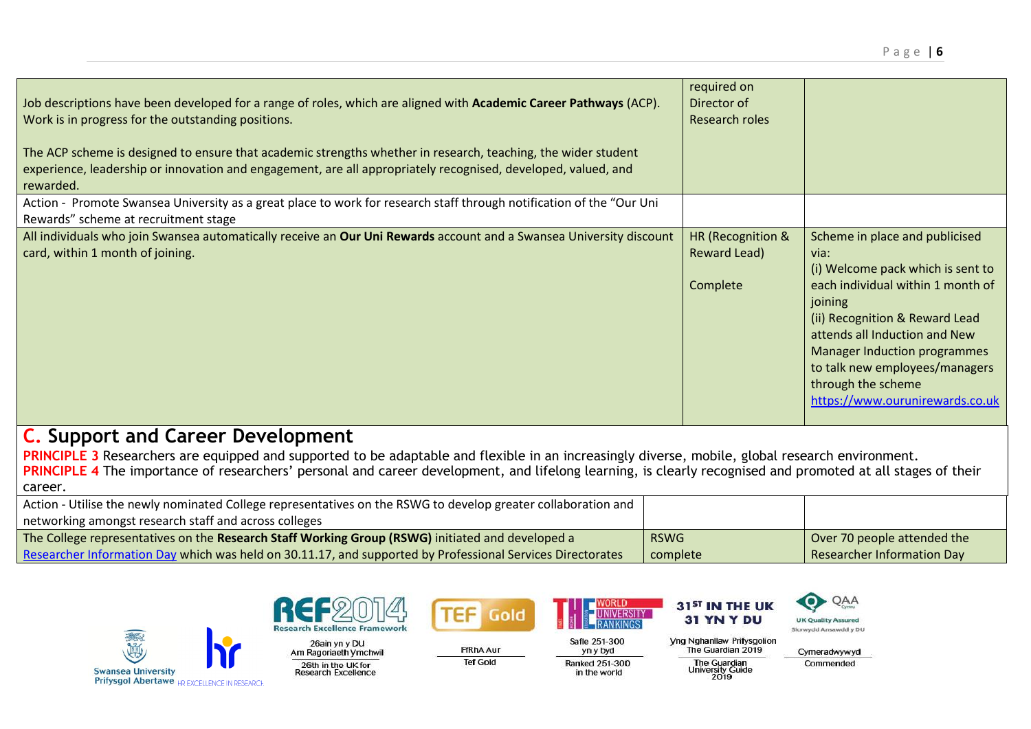| Job descriptions have been developed for a range of roles, which are aligned with Academic Career Pathways (ACP).<br>Work is in progress for the outstanding positions.<br>The ACP scheme is designed to ensure that academic strengths whether in research, teaching, the wider student | required on<br>Director of<br>Research roles  |                                                                                                                                                                                                                                                                                                                                  |
|------------------------------------------------------------------------------------------------------------------------------------------------------------------------------------------------------------------------------------------------------------------------------------------|-----------------------------------------------|----------------------------------------------------------------------------------------------------------------------------------------------------------------------------------------------------------------------------------------------------------------------------------------------------------------------------------|
| experience, leadership or innovation and engagement, are all appropriately recognised, developed, valued, and<br>rewarded.                                                                                                                                                               |                                               |                                                                                                                                                                                                                                                                                                                                  |
| Action - Promote Swansea University as a great place to work for research staff through notification of the "Our Uni<br>Rewards" scheme at recruitment stage                                                                                                                             |                                               |                                                                                                                                                                                                                                                                                                                                  |
| All individuals who join Swansea automatically receive an Our Uni Rewards account and a Swansea University discount<br>card, within 1 month of joining.                                                                                                                                  | HR (Recognition &<br>Reward Lead)<br>Complete | Scheme in place and publicised<br>via:<br>(i) Welcome pack which is sent to<br>each individual within 1 month of<br>joining<br>(ii) Recognition & Reward Lead<br>attends all Induction and New<br><b>Manager Induction programmes</b><br>to talk new employees/managers<br>through the scheme<br>https://www.ourunirewards.co.uk |

## **C. Support and Career Development**

**PRINCIPLE 3** Researchers are equipped and supported to be adaptable and flexible in an increasingly diverse, mobile, global research environment. PRINCIPLE 4 The importance of researchers' personal and career development, and lifelong learning, is clearly recognised and promoted at all stages of their career.

| Action - Utilise the newly nominated College representatives on the RSWG to develop greater collaboration and |             |                             |
|---------------------------------------------------------------------------------------------------------------|-------------|-----------------------------|
| networking amongst research staff and across colleges                                                         |             |                             |
| The College representatives on the Research Staff Working Group (RSWG) initiated and developed a              | <b>RSWG</b> | Over 70 people attended the |
| Researcher Information Day which was held on 30.11.17, and supported by Professional Services Directorates    | complete    | Researcher Information Day  |







**FfRhAAur** 

**Tef Gold** 



yn y byd Ranked 251-300 in the world



31<sup>ST</sup> IN THE UK

31 YN Y DU

**Vng Nghanllaw Prifysgolion** 

The Guardian 2019

The Guardian<br>University Guide<br>2019

Sicrwydd Ansawdd y DU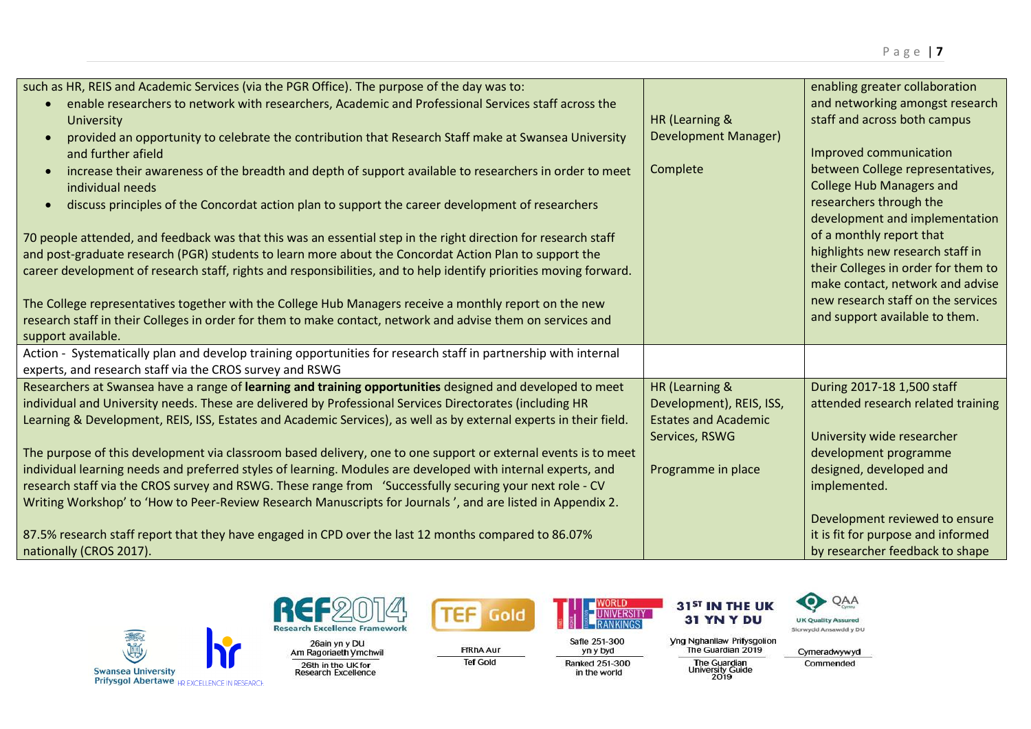| such as HR, REIS and Academic Services (via the PGR Office). The purpose of the day was to:<br>enable researchers to network with researchers, Academic and Professional Services staff across the<br><b>University</b><br>provided an opportunity to celebrate the contribution that Research Staff make at Swansea University<br>and further afield<br>increase their awareness of the breadth and depth of support available to researchers in order to meet<br>individual needs<br>discuss principles of the Concordat action plan to support the career development of researchers<br>70 people attended, and feedback was that this was an essential step in the right direction for research staff<br>and post-graduate research (PGR) students to learn more about the Concordat Action Plan to support the<br>career development of research staff, rights and responsibilities, and to help identify priorities moving forward.<br>The College representatives together with the College Hub Managers receive a monthly report on the new<br>research staff in their Colleges in order for them to make contact, network and advise them on services and<br>support available. | HR (Learning &<br><b>Development Manager)</b><br>Complete                                                         | enabling greater collaboration<br>and networking amongst research<br>staff and across both campus<br>Improved communication<br>between College representatives,<br><b>College Hub Managers and</b><br>researchers through the<br>development and implementation<br>of a monthly report that<br>highlights new research staff in<br>their Colleges in order for them to<br>make contact, network and advise<br>new research staff on the services<br>and support available to them. |
|------------------------------------------------------------------------------------------------------------------------------------------------------------------------------------------------------------------------------------------------------------------------------------------------------------------------------------------------------------------------------------------------------------------------------------------------------------------------------------------------------------------------------------------------------------------------------------------------------------------------------------------------------------------------------------------------------------------------------------------------------------------------------------------------------------------------------------------------------------------------------------------------------------------------------------------------------------------------------------------------------------------------------------------------------------------------------------------------------------------------------------------------------------------------------------------|-------------------------------------------------------------------------------------------------------------------|------------------------------------------------------------------------------------------------------------------------------------------------------------------------------------------------------------------------------------------------------------------------------------------------------------------------------------------------------------------------------------------------------------------------------------------------------------------------------------|
| Action - Systematically plan and develop training opportunities for research staff in partnership with internal<br>experts, and research staff via the CROS survey and RSWG                                                                                                                                                                                                                                                                                                                                                                                                                                                                                                                                                                                                                                                                                                                                                                                                                                                                                                                                                                                                              |                                                                                                                   |                                                                                                                                                                                                                                                                                                                                                                                                                                                                                    |
| Researchers at Swansea have a range of learning and training opportunities designed and developed to meet<br>individual and University needs. These are delivered by Professional Services Directorates (including HR<br>Learning & Development, REIS, ISS, Estates and Academic Services), as well as by external experts in their field.<br>The purpose of this development via classroom based delivery, one to one support or external events is to meet<br>individual learning needs and preferred styles of learning. Modules are developed with internal experts, and<br>research staff via the CROS survey and RSWG. These range from 'Successfully securing your next role - CV<br>Writing Workshop' to 'How to Peer-Review Research Manuscripts for Journals ', and are listed in Appendix 2.                                                                                                                                                                                                                                                                                                                                                                                  | HR (Learning &<br>Development), REIS, ISS,<br><b>Estates and Academic</b><br>Services, RSWG<br>Programme in place | During 2017-18 1,500 staff<br>attended research related training<br>University wide researcher<br>development programme<br>designed, developed and<br>implemented.<br>Development reviewed to ensure                                                                                                                                                                                                                                                                               |
| 87.5% research staff report that they have engaged in CPD over the last 12 months compared to 86.07%<br>nationally (CROS 2017).                                                                                                                                                                                                                                                                                                                                                                                                                                                                                                                                                                                                                                                                                                                                                                                                                                                                                                                                                                                                                                                          |                                                                                                                   | it is fit for purpose and informed<br>by researcher feedback to shape                                                                                                                                                                                                                                                                                                                                                                                                              |







**Tef Gold** 



Safle 251-300 yn y byd Ranked 251-300 in the world



**Yng Nghanllaw Prifysgolion<br>The Guardian 2019** The Guardian<br>University Guide<br>2019

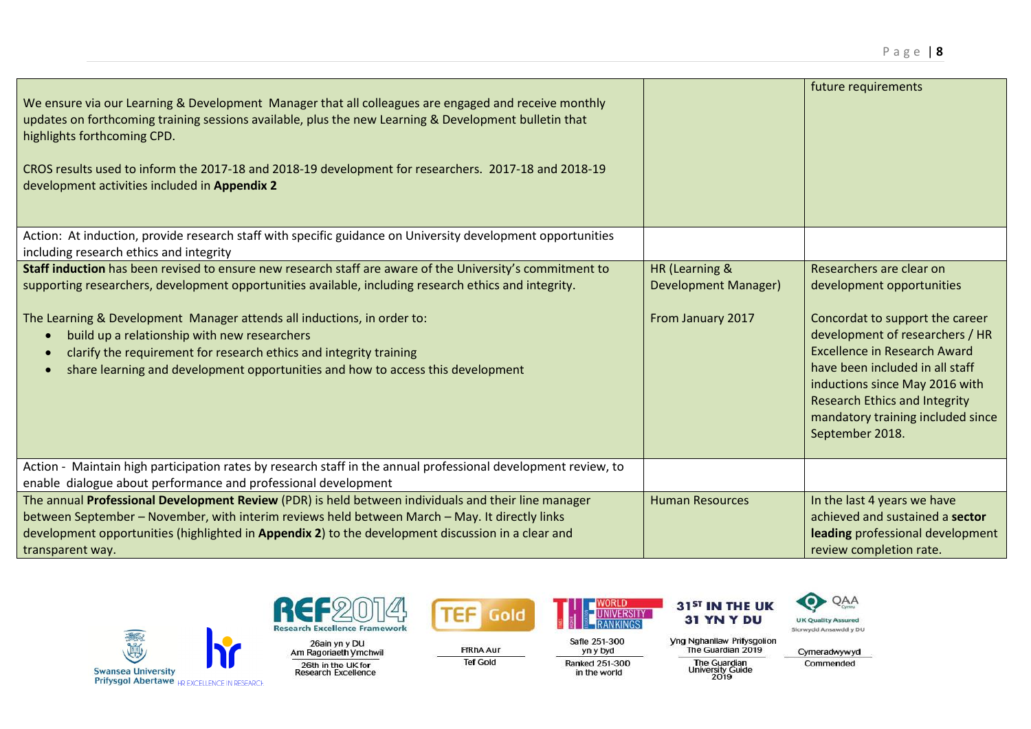| We ensure via our Learning & Development Manager that all colleagues are engaged and receive monthly<br>updates on forthcoming training sessions available, plus the new Learning & Development bulletin that<br>highlights forthcoming CPD.<br>CROS results used to inform the 2017-18 and 2018-19 development for researchers. 2017-18 and 2018-19<br>development activities included in Appendix 2                                                                                                  |                                                             | future requirements                                                                                                                                                                                                                                                                                                                     |
|--------------------------------------------------------------------------------------------------------------------------------------------------------------------------------------------------------------------------------------------------------------------------------------------------------------------------------------------------------------------------------------------------------------------------------------------------------------------------------------------------------|-------------------------------------------------------------|-----------------------------------------------------------------------------------------------------------------------------------------------------------------------------------------------------------------------------------------------------------------------------------------------------------------------------------------|
| Action: At induction, provide research staff with specific guidance on University development opportunities<br>including research ethics and integrity                                                                                                                                                                                                                                                                                                                                                 |                                                             |                                                                                                                                                                                                                                                                                                                                         |
| Staff induction has been revised to ensure new research staff are aware of the University's commitment to<br>supporting researchers, development opportunities available, including research ethics and integrity.<br>The Learning & Development Manager attends all inductions, in order to:<br>build up a relationship with new researchers<br>clarify the requirement for research ethics and integrity training<br>share learning and development opportunities and how to access this development | HR (Learning &<br>Development Manager)<br>From January 2017 | Researchers are clear on<br>development opportunities<br>Concordat to support the career<br>development of researchers / HR<br><b>Excellence in Research Award</b><br>have been included in all staff<br>inductions since May 2016 with<br><b>Research Ethics and Integrity</b><br>mandatory training included since<br>September 2018. |
| Action - Maintain high participation rates by research staff in the annual professional development review, to<br>enable dialogue about performance and professional development                                                                                                                                                                                                                                                                                                                       |                                                             |                                                                                                                                                                                                                                                                                                                                         |
| The annual Professional Development Review (PDR) is held between individuals and their line manager<br>between September - November, with interim reviews held between March - May. It directly links<br>development opportunities (highlighted in Appendix 2) to the development discussion in a clear and<br>transparent way.                                                                                                                                                                        | <b>Human Resources</b>                                      | In the last 4 years we have<br>achieved and sustained a sector<br>leading professional development<br>review completion rate.                                                                                                                                                                                                           |













The Guardian<br>University Guide<br>2019

31<sup>ST</sup> IN THE UK



Cymeradwywyd Commended

**FfRhAAur Tef Gold**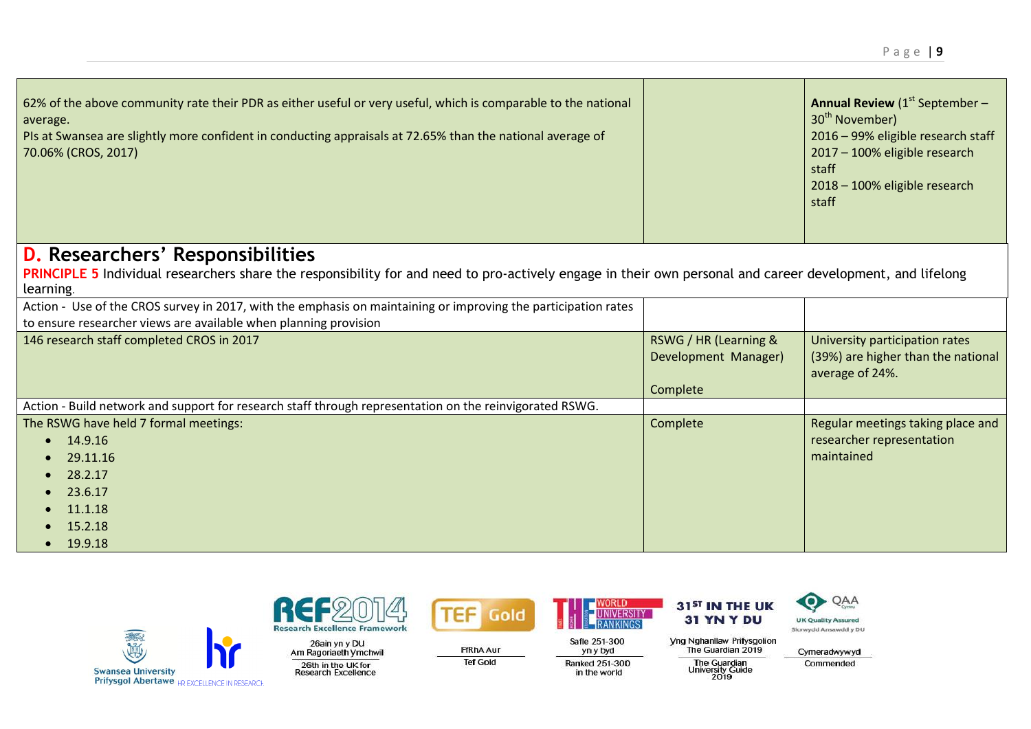| 62% of the above community rate their PDR as either useful or very useful, which is comparable to the national<br>average.<br>PIs at Swansea are slightly more confident in conducting appraisals at 72.65% than the national average of<br>70.06% (CROS, 2017) |                                                           | <b>Annual Review</b> ( $1^{st}$ September –<br>30 <sup>th</sup> November)<br>2016 - 99% eligible research staff<br>2017 - 100% eligible research<br>staff<br>2018 - 100% eligible research<br>staff |
|-----------------------------------------------------------------------------------------------------------------------------------------------------------------------------------------------------------------------------------------------------------------|-----------------------------------------------------------|-----------------------------------------------------------------------------------------------------------------------------------------------------------------------------------------------------|
| <b>D.</b> Researchers' Responsibilities                                                                                                                                                                                                                         |                                                           |                                                                                                                                                                                                     |
| <b>PRINCIPLE 5</b> Individual researchers share the responsibility for and need to pro-actively engage in their own personal and career development, and lifelong<br>learning.                                                                                  |                                                           |                                                                                                                                                                                                     |
| Action - Use of the CROS survey in 2017, with the emphasis on maintaining or improving the participation rates                                                                                                                                                  |                                                           |                                                                                                                                                                                                     |
| to ensure researcher views are available when planning provision                                                                                                                                                                                                |                                                           |                                                                                                                                                                                                     |
| 146 research staff completed CROS in 2017                                                                                                                                                                                                                       | RSWG / HR (Learning &<br>Development Manager)<br>Complete | University participation rates<br>(39%) are higher than the national<br>average of 24%.                                                                                                             |
| Action - Build network and support for research staff through representation on the reinvigorated RSWG.                                                                                                                                                         |                                                           |                                                                                                                                                                                                     |
| The RSWG have held 7 formal meetings:<br>14.9.16<br>29.11.16<br>28.2.17<br>23.6.17<br>11.1.18<br>15.2.18<br>• 19.9.18                                                                                                                                           | Complete                                                  | Regular meetings taking place and<br>researcher representation<br>maintained                                                                                                                        |





KI.

**FfRhAAur Tef Gold** 

**TEF** 



yn y byd Ranked 251-300 in the world



**Yng Nghanllaw Prifysgolion<br>The Guardian 2019** The Guardian<br>University Guide<br>2019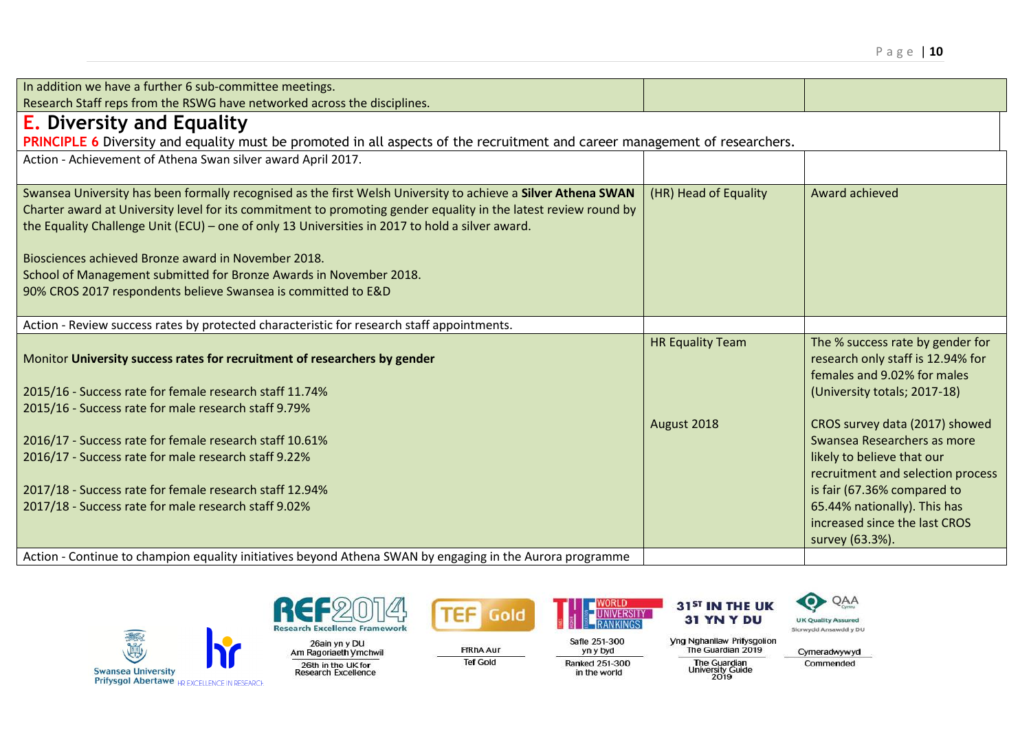| In addition we have a further 6 sub-committee meetings.                                                                             |                         |                                                                 |
|-------------------------------------------------------------------------------------------------------------------------------------|-------------------------|-----------------------------------------------------------------|
| Research Staff reps from the RSWG have networked across the disciplines.                                                            |                         |                                                                 |
| <b>E.</b> Diversity and Equality                                                                                                    |                         |                                                                 |
| PRINCIPLE 6 Diversity and equality must be promoted in all aspects of the recruitment and career management of researchers.         |                         |                                                                 |
| Action - Achievement of Athena Swan silver award April 2017.                                                                        |                         |                                                                 |
|                                                                                                                                     |                         |                                                                 |
| Swansea University has been formally recognised as the first Welsh University to achieve a Silver Athena SWAN                       | (HR) Head of Equality   | Award achieved                                                  |
| Charter award at University level for its commitment to promoting gender equality in the latest review round by                     |                         |                                                                 |
| the Equality Challenge Unit (ECU) - one of only 13 Universities in 2017 to hold a silver award.                                     |                         |                                                                 |
|                                                                                                                                     |                         |                                                                 |
| Biosciences achieved Bronze award in November 2018.                                                                                 |                         |                                                                 |
| School of Management submitted for Bronze Awards in November 2018.<br>90% CROS 2017 respondents believe Swansea is committed to E&D |                         |                                                                 |
|                                                                                                                                     |                         |                                                                 |
| Action - Review success rates by protected characteristic for research staff appointments.                                          |                         |                                                                 |
|                                                                                                                                     | <b>HR Equality Team</b> | The % success rate by gender for                                |
| Monitor University success rates for recruitment of researchers by gender                                                           |                         | research only staff is 12.94% for                               |
|                                                                                                                                     |                         | females and 9.02% for males                                     |
| 2015/16 - Success rate for female research staff 11.74%                                                                             |                         | (University totals; 2017-18)                                    |
| 2015/16 - Success rate for male research staff 9.79%                                                                                |                         |                                                                 |
|                                                                                                                                     | August 2018             | CROS survey data (2017) showed                                  |
| 2016/17 - Success rate for female research staff 10.61%                                                                             |                         | Swansea Researchers as more                                     |
| 2016/17 - Success rate for male research staff 9.22%                                                                                |                         | likely to believe that our<br>recruitment and selection process |
| 2017/18 - Success rate for female research staff 12.94%                                                                             |                         | is fair (67.36% compared to                                     |
| 2017/18 - Success rate for male research staff 9.02%                                                                                |                         | 65.44% nationally). This has                                    |
|                                                                                                                                     |                         | increased since the last CROS                                   |
|                                                                                                                                     |                         | survey (63.3%).                                                 |
| Action - Continue to champion equality initiatives beyond Athena SWAN by engaging in the Aurora programme                           |                         |                                                                 |







**FfRhAAur** 

**Tef Gold** 







**Yng Nghanllaw Prifysgolion<br>The Guardian 2019** Cymeradwywyd Commended

The Guardian<br>University Guide<br>2019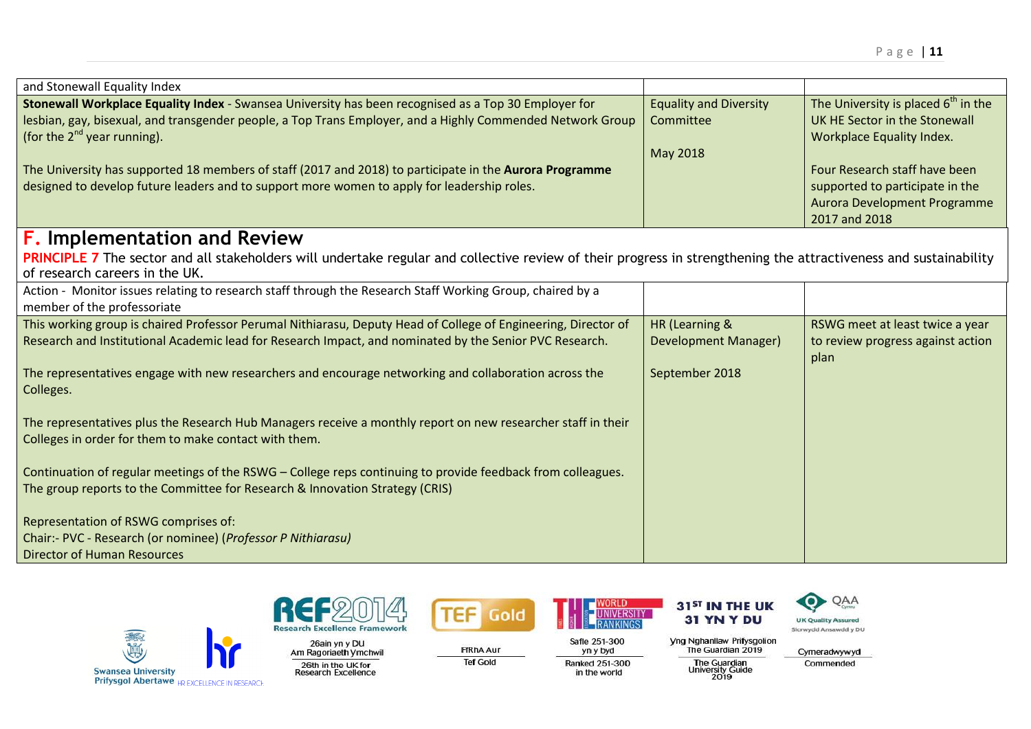| and Stonewall Equality Index                                                                                                                                                                                                                                                                                                                                                                                                                                     |                                                        |                                                                                                                                                                                                                                    |
|------------------------------------------------------------------------------------------------------------------------------------------------------------------------------------------------------------------------------------------------------------------------------------------------------------------------------------------------------------------------------------------------------------------------------------------------------------------|--------------------------------------------------------|------------------------------------------------------------------------------------------------------------------------------------------------------------------------------------------------------------------------------------|
| Stonewall Workplace Equality Index - Swansea University has been recognised as a Top 30 Employer for<br>lesbian, gay, bisexual, and transgender people, a Top Trans Employer, and a Highly Commended Network Group<br>(for the $2^{nd}$ year running).<br>The University has supported 18 members of staff (2017 and 2018) to participate in the Aurora Programme<br>designed to develop future leaders and to support more women to apply for leadership roles. | <b>Equality and Diversity</b><br>Committee<br>May 2018 | The University is placed 6 <sup>th</sup> in the<br>UK HE Sector in the Stonewall<br>Workplace Equality Index.<br>Four Research staff have been<br>supported to participate in the<br>Aurora Development Programme<br>2017 and 2018 |
| <b>F. Implementation and Review</b>                                                                                                                                                                                                                                                                                                                                                                                                                              |                                                        |                                                                                                                                                                                                                                    |
| PRINCIPLE 7 The sector and all stakeholders will undertake regular and collective review of their progress in strengthening the attractiveness and sustainability<br>of research careers in the UK.                                                                                                                                                                                                                                                              |                                                        |                                                                                                                                                                                                                                    |
| Action - Monitor issues relating to research staff through the Research Staff Working Group, chaired by a<br>member of the professoriate                                                                                                                                                                                                                                                                                                                         |                                                        |                                                                                                                                                                                                                                    |
| This working group is chaired Professor Perumal Nithiarasu, Deputy Head of College of Engineering, Director of<br>Research and Institutional Academic lead for Research Impact, and nominated by the Senior PVC Research.                                                                                                                                                                                                                                        | HR (Learning &<br><b>Development Manager)</b>          | RSWG meet at least twice a year<br>to review progress against action<br>plan                                                                                                                                                       |
| The representatives engage with new researchers and encourage networking and collaboration across the<br>Colleges.                                                                                                                                                                                                                                                                                                                                               | September 2018                                         |                                                                                                                                                                                                                                    |
| The representatives plus the Research Hub Managers receive a monthly report on new researcher staff in their<br>Colleges in order for them to make contact with them.                                                                                                                                                                                                                                                                                            |                                                        |                                                                                                                                                                                                                                    |
| Continuation of regular meetings of the RSWG - College reps continuing to provide feedback from colleagues.<br>The group reports to the Committee for Research & Innovation Strategy (CRIS)                                                                                                                                                                                                                                                                      |                                                        |                                                                                                                                                                                                                                    |
| Representation of RSWG comprises of:<br>Chair:- PVC - Research (or nominee) (Professor P Nithiarasu)<br><b>Director of Human Resources</b>                                                                                                                                                                                                                                                                                                                       |                                                        |                                                                                                                                                                                                                                    |







**FfRhAAur** 

**Tef Gold** 



Safle 251-300 yn y byd Ranked 251-300 in the world



**Yng Nghanllaw Prifysgolion<br>The Guardian 2019** The Guardian<br>University Guide<br>2019

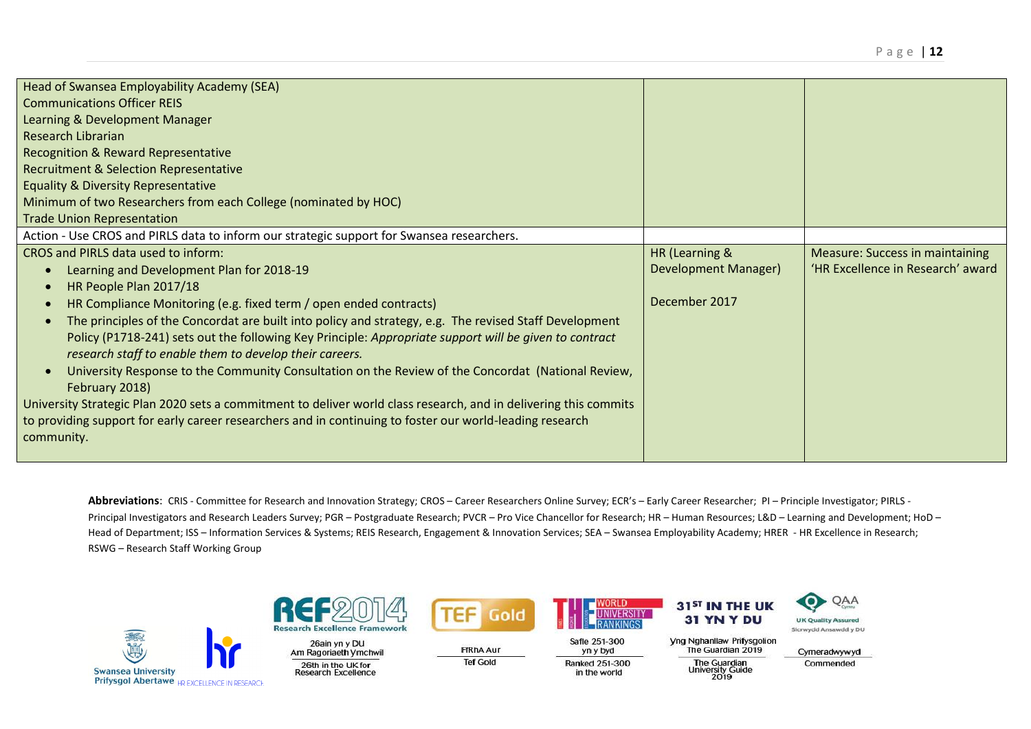| Head of Swansea Employability Academy (SEA)                                                                      |                             |                                        |
|------------------------------------------------------------------------------------------------------------------|-----------------------------|----------------------------------------|
| <b>Communications Officer REIS</b>                                                                               |                             |                                        |
| Learning & Development Manager                                                                                   |                             |                                        |
| Research Librarian                                                                                               |                             |                                        |
| <b>Recognition &amp; Reward Representative</b>                                                                   |                             |                                        |
| Recruitment & Selection Representative                                                                           |                             |                                        |
| <b>Equality &amp; Diversity Representative</b>                                                                   |                             |                                        |
| Minimum of two Researchers from each College (nominated by HOC)                                                  |                             |                                        |
| <b>Trade Union Representation</b>                                                                                |                             |                                        |
| Action - Use CROS and PIRLS data to inform our strategic support for Swansea researchers.                        |                             |                                        |
| CROS and PIRLS data used to inform:                                                                              | HR (Learning &              | <b>Measure: Success in maintaining</b> |
| Learning and Development Plan for 2018-19                                                                        | <b>Development Manager)</b> | 'HR Excellence in Research' award      |
| HR People Plan 2017/18                                                                                           |                             |                                        |
| HR Compliance Monitoring (e.g. fixed term / open ended contracts)                                                | December 2017               |                                        |
| The principles of the Concordat are built into policy and strategy, e.g. The revised Staff Development           |                             |                                        |
| Policy (P1718-241) sets out the following Key Principle: Appropriate support will be given to contract           |                             |                                        |
| research staff to enable them to develop their careers.                                                          |                             |                                        |
| University Response to the Community Consultation on the Review of the Concordat (National Review,               |                             |                                        |
| February 2018)                                                                                                   |                             |                                        |
| University Strategic Plan 2020 sets a commitment to deliver world class research, and in delivering this commits |                             |                                        |
| to providing support for early career researchers and in continuing to foster our world-leading research         |                             |                                        |
| community.                                                                                                       |                             |                                        |
|                                                                                                                  |                             |                                        |

Abbreviations: CRIS - Committee for Research and Innovation Strategy; CROS - Career Researchers Online Survey; ECR's - Early Career Researcher; PI - Principle Investigator; PIRLS -Principal Investigators and Research Leaders Survey; PGR – Postgraduate Research; PVCR – Pro Vice Chancellor for Research; HR – Human Resources; L&D – Learning and Development; HoD – Head of Department; ISS – Information Services & Systems; REIS Research, Engagement & Innovation Services; SEA – Swansea Employability Academy; HRER - HR Excellence in Research; RSWG – Research Staff Working Group







**FfRhA Aur** 

**Tef Gold** 



Safle 251-300 yn y byd Ranked 251-300 in the world



**Vng Nghanllaw Prifysgolion** The Guardian 2019 The Guardian<br>University Guide<br>2019



Cymeradwywyd

Commended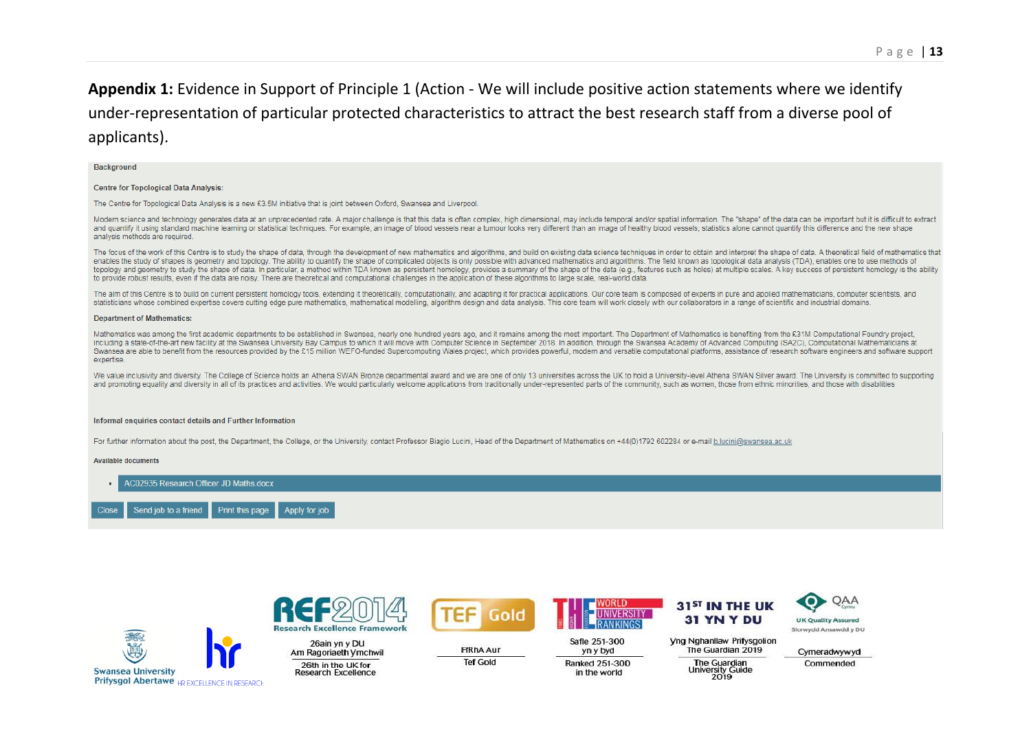## Appendix 1: Evidence in Support of Principle 1 (Action - We will include positive action statements where we identify under-representation of particular protected characteristics to attract the best research staff from a diverse pool of applicants).

#### Background

#### **Centre for Topological Data Analysis:**

The Centre for Topological Data Analysis is a new £3.5M initiative that is joint between Oxford, Swansea and Liverpool.

Modern science and technology generates data at an unprecedented rate. A major challenge is that this data is often complex, high dimensional, may include temporal and/or spatial information. The "shape" of the data can be and quantify it using standard machine learning or statistical techniques. For example, an image of blood vessels near a tumour looks very different than an image of healthy blood vessels; statistics alone cannot quantify analysis methods are required.

The focus of the work of this Centre is to study the shape of data, through the development of new mathematics and algorithms, and build on existing data science techniques in order to obtain and interpret the shape of dat enables the study of shapes is geometry and topology. The ability to quantify the shape of complicated objects is only possible with advanced mathematics and algorithms. The field known as topological data analysis (TDA), topology and geometry to study the shape of data. In particular, a method within TDA known as persistent homology, provides a summary of the shape of the data (e.g., features such as holes) at multiple scales. A key succes to provide robust results, even if the data are noisy. There are theoretical and computational challenges in the application of these algorithms to large scale, real-world data.

The aim of this Centre is to build on current persistent homology tools, extending it theoretically, computationally, and adapting it for practical applications. Our core team is composed of experts in pure and applied mat statisticians whose combined expertise covers cutting edge pure mathematics, mathematical modelling, algorithm design and data analysis. This core team will work closely with our collaborators in a range of scientific and

#### **Department of Mathematics:**

Mathematics was among the first academic departments to be established in Swansea, nearly one hundred years ago, and it remains among the most important. The Department of Mathematics is benefiting from the £31M Computatio including a state-of-the-art new facility at the Swansea University Bay Campus to which it will move with Computer Science in September 2018. In addition, through the Swansea Academy of Advanced Computing (SA2C), Computati Swansea are able to benefit from the resources provided by the £15 million WEFO-funded Supercomputing Wales project, which provides powerful, modern and versatile computational platforms, assistance of research software en expertise.

We value inclusivity and diversity. The College of Science holds an Athena SWAN Bronze departmental award and we are one of only 13 universities across the UK to hold a University-level Athena SWAN Silver award. The Univer and promoting equality and diversity in all of its practices and activities. We would particularly welcome applications from traditionally under-represented parts of the community, such as women, those from ethnic minoriti

#### Informal enquiries contact details and Further Information

For further information about the post, the Department, the College, or the University, contact Professor Biagio Lucini, Head of the Department of Mathematics on +44(0)1792 602284 or e-mail b.lucini@swansea.ac.uk

#### **Available documents**

AC02935 Research Officer JD Maths.docx









**FfRhAAur** 

**Tef Gold** 





31<sup>ST</sup> IN THE UK 31 YN Y DU



**Yng Nghanllaw Prifysgolion** The Guardian 2019 The Guardian

University Guide<br>2019

Sicrwydd Ansawdd y DU Cymeradwywyd

Commended



**Research Excellence**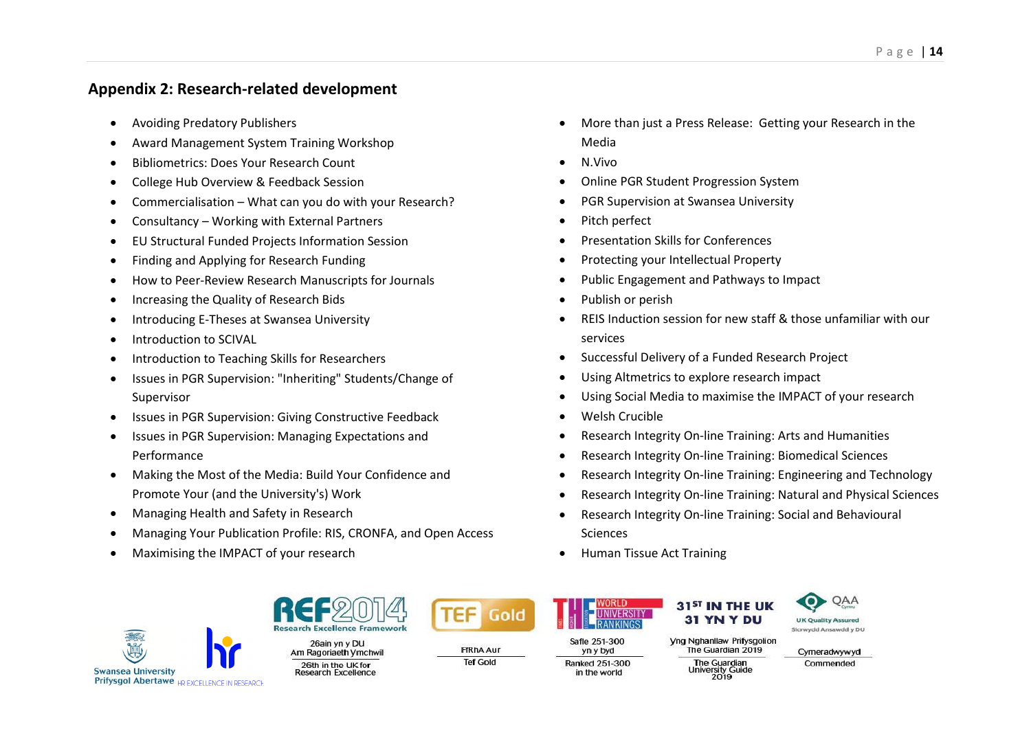### **Appendix 2: Research-related development**

- Avoiding Predatory Publishers
- Award Management System Training Workshop
- Bibliometrics: Does Your Research Count
- College Hub Overview & Feedback Session
- Commercialisation What can you do with your Research?
- Consultancy Working with External Partners
- EU Structural Funded Projects Information Session
- Finding and Applying for Research Funding
- How to Peer-Review Research Manuscripts for Journals
- Increasing the Quality of Research Bids
- Introducing E-Theses at Swansea University
- $\bullet$  Introduction to SCIVAL
- Introduction to Teaching Skills for Researchers
- Issues in PGR Supervision: "Inheriting" Students/Change of Supervisor
- Issues in PGR Supervision: Giving Constructive Feedback
- Issues in PGR Supervision: Managing Expectations and Performance
- Making the Most of the Media: Build Your Confidence and Promote Your (and the University's) Work
- Managing Health and Safety in Research
- Managing Your Publication Profile: RIS, CRONFA, and Open Access
- Maximising the IMPACT of your research
- More than just a Press Release: Getting your Research in the Media
- N.Vivo
- Online PGR Student Progression System
- PGR Supervision at Swansea University
- Pitch perfect
- Presentation Skills for Conferences
- Protecting your Intellectual Property
- Public Engagement and Pathways to Impact
- Publish or perish
- REIS Induction session for new staff & those unfamiliar with our services
- Successful Delivery of a Funded Research Project
- Using Altmetrics to explore research impact
- Using Social Media to maximise the IMPACT of your research
- Welsh Crucible
- Research Integrity On-line Training: Arts and Humanities
- Research Integrity On-line Training: Biomedical Sciences
- Research Integrity On-line Training: Engineering and Technology
- Research Integrity On-line Training: Natural and Physical Sciences
- Research Integrity On-line Training: Social and Behavioural Sciences
- Human Tissue Act Training







**FfRhA Aur** 

**Tef Gold** 



yn y byd Ranked 251-300 in the world



**Yng Nghanllaw Prifysgolion** The Guardian 2019

The Guardian<br>University Guide<br>2019

31<sup>ST</sup> IN THE UK

31 YN Y DU

Sicrwydd Ansawdd y DU Cymeradwywyd

Commended